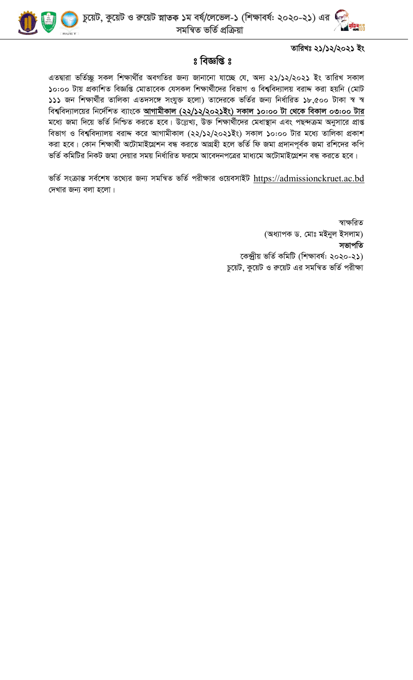



তারিখঃ ২১/১২/২০২১ ইং

## $8$  বিজ্ঞপ্তি  $8$

এতদ্বারা ভর্তিচ্ছু সকল শিক্ষার্থীর অবগতির জন্য জানানো যাচ্ছে যে, অদ্য ২১/১২/২০২১ ইং তারিখ সকাল ১০:০০ টায় প্রকাশিত বিজ্ঞপ্তি মোতাবেক যেসকল শিক্ষার্থীদের বিভাগ ও বিশ্ববিদ্যালয় বরাদ্দ করা হয়নি (মোট ১১১ জন শিক্ষার্থীর তালিকা এতদসঙ্গে সংযুক্ত হলো) তাদেরকে ভর্তির জন্য নির্ধারিত ১৮,৫০০ টাকা স্ব স্ব বিশ্ববিদ্যালয়ের নির্দেশিত ব্যাংকে আগামীকাল (২২/১২/২০২১ইং) সকাল ১০:০০ টা থেকে বিকাল ০৩:০০ টার মধ্যে জমা দিয়ে ভর্তি নিশ্চিত করতে হবে। উল্লেখ্য, উক্ত শিক্ষার্থীদের মেধাস্থান এবং পছন্দক্রম অনুসারে প্রাপ্ত বিভাগ ও বিশ্ববিদ্যালয় বরাদ্দ করে আগামীকাল (২২/১২/২০২১ইং) সকাল ১০:০০ টার মধ্যে তালিকা প্রকাশ করা হবে। কোন শিক্ষার্থী অটোমাইগ্রেশন বন্ধ করতে আগ্রহী হলে ভর্তি ফি জমা প্রদানপূর্বক জমা রশিদের কপি ভর্তি কমিটির নিকট জমা দেয়ার সময় নির্ধারিত ফরমে আবেদনপত্রের মাধ্যমে অটোমাইগ্রেশন বন্ধ করতে হবে।

ভর্তি সংক্রান্ত সর্বশেষ তথ্যের জন্য সমন্বিত ভর্তি পরীক্ষার ওয়েবসাইট https://admissionckruet.ac.bd দেখার জন্য বলা হলো।

> স্বাক্ষরিত (অধ্যাপক ড. মোঃ মইনুল ইসলাম) সভাপতি কেন্দ্ৰীয় ভৰ্তি কমিটি (শিক্ষাবৰ্ষ: ২০২০-২১) চুয়েট, কুয়েট ও রুয়েট এর সমন্বিত ভর্তি পরীক্ষা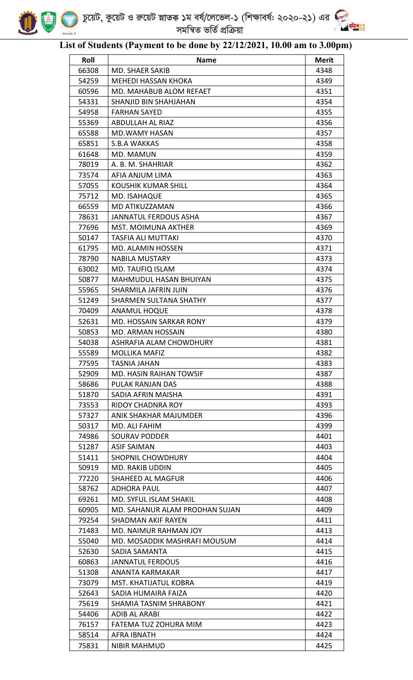

## **List of Students (Payment to be done by 22/12/2021, 10.00 am to 3.00pm)**

.<br>제 00

| Roll  | <b>Name</b>                    | <b>Merit</b> |
|-------|--------------------------------|--------------|
| 66308 | MD. SHAER SAKIB                | 4348         |
| 54259 | <b>MEHEDI HASSAN KHOKA</b>     | 4349         |
| 60596 | MD. MAHABUB ALOM REFAET        | 4351         |
| 54331 | SHANJID BIN SHAHJAHAN          | 4354         |
| 54958 | <b>FARHAN SAYED</b>            | 4355         |
| 55369 | <b>ABDULLAH AL RIAZ</b>        | 4356         |
| 65588 | <b>MD.WAMY HASAN</b>           | 4357         |
| 65851 | <b>S.B.A WAKKAS</b>            | 4358         |
| 61648 | MD. MAMUN                      | 4359         |
| 78019 | A. B. M. SHAHRIAR              | 4362         |
| 73574 | AFIA ANJUM LIMA                | 4363         |
| 57055 | KOUSHIK KUMAR SHILL            | 4364         |
| 75712 | MD. ISAHAQUE                   | 4365         |
| 66559 | <b>MD ATIKUZZAMAN</b>          | 4366         |
| 78631 | JANNATUL FERDOUS ASHA          | 4367         |
| 77696 | <b>MST. MOIMUNA AKTHER</b>     | 4369         |
| 50147 | <b>TASFIA ALI MUTTAKI</b>      | 4370         |
| 61795 | <b>MD. ALAMIN HOSSEN</b>       | 4371         |
| 78790 | <b>NABILA MUSTARY</b>          | 4373         |
| 63002 | MD. TAUFIQ ISLAM               | 4374         |
| 50877 | <b>MAHMUDUL HASAN BHUIYAN</b>  | 4375         |
| 55965 | SHARMILA JAFRIN JUIN           | 4376         |
| 51249 | SHARMEN SULTANA SHATHY         | 4377         |
| 70409 | <b>ANAMUL HOQUE</b>            | 4378         |
| 52631 | <b>MD. HOSSAIN SARKAR RONY</b> | 4379         |
| 50853 | <b>MD. ARMAN HOSSAIN</b>       | 4380         |
| 54038 | ASHRAFIA ALAM CHOWDHURY        | 4381         |
| 55589 | MOLLIKA MAFIZ                  | 4382         |
| 77595 | TASNIA JAHAN                   | 4383         |
| 52909 | <b>MD. HASIN RAIHAN TOWSIF</b> | 4387         |
| 58686 | PULAK RANJAN DAS               | 4388         |
| 51870 | SADIA AFRIN MAISHA             | 4391         |
| 73553 | RIDOY CHADNRA ROY              | 4393         |
| 57327 | ANIK SHAKHAR MAJUMDER          | 4396         |
| 50317 | MD. ALI FAHIM                  | 4399         |
| 74986 | SOURAV PODDER                  | 4401         |
| 51287 | ASIF SAIMAN                    | 4403         |
| 51411 | <b>SHOPNIL CHOWDHURY</b>       | 4404         |
| 50919 | MD. RAKIB UDDIN                | 4405         |
| 77220 | SHAHEED AL MAGFUR              | 4406         |
| 58762 | ADHORA PAUL                    | 4407         |
| 69261 | <b>MD. SYFUL ISLAM SHAKIL</b>  | 4408         |
| 60905 | MD. SAHANUR ALAM PRODHAN SUJAN | 4409         |
| 79254 | <b>SHADMAN AKIF RAYEN</b>      | 4411         |
| 71483 | MD. NAIMUR RAHMAN JOY          | 4413         |
| 55040 | MD. MOSADDIK MASHRAFI MOUSUM   | 4414         |
| 52630 | SADIA SAMANTA                  | 4415         |
| 60863 | <b>JANNATUL FERDOUS</b>        | 4416         |
| 51308 | ANANTA KARMAKAR                | 4417         |
| 73079 | <b>MST. KHATIJATUL KOBRA</b>   | 4419         |
| 52643 | SADIA HUMAIRA FAIZA            | 4420         |
| 75619 | SHAMIA TASNIM SHRABONY         | 4421         |
| 54406 | ADIB AL ARABI                  | 4422         |
| 76157 | FATEMA TUZ ZOHURA MIM          | 4423         |
| 58514 | AFRA IBNATH                    | 4424         |
| 75831 | <b>NIBIR MAHMUD</b>            | 4425         |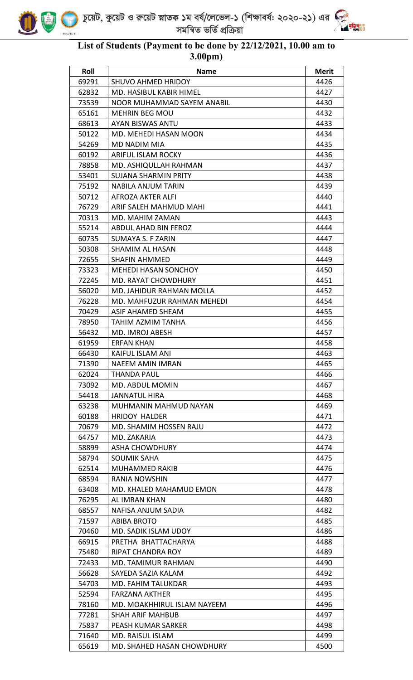



<u>भू<br>अज्ञाति</u>

| Roll  | <b>Name</b>                  | <b>Merit</b> |
|-------|------------------------------|--------------|
| 69291 | <b>SHUVO AHMED HRIDOY</b>    | 4426         |
| 62832 | MD. HASIBUL KABIR HIMEL      | 4427         |
| 73539 | NOOR MUHAMMAD SAYEM ANABIL   | 4430         |
| 65161 | <b>MEHRIN BEG MOU</b>        | 4432         |
| 68613 | AYAN BISWAS ANTU             | 4433         |
| 50122 | MD. MEHEDI HASAN MOON        | 4434         |
| 54269 | MD NADIM MIA                 | 4435         |
| 60192 | <b>ARIFUL ISLAM ROCKY</b>    | 4436         |
| 78858 | MD. ASHIQULLAH RAHMAN        | 4437         |
| 53401 | SUJANA SHARMIN PRITY         | 4438         |
| 75192 | <b>NABILA ANJUM TARIN</b>    | 4439         |
| 50712 | AFROZA AKTER ALFI            | 4440         |
| 76729 | ARIF SALEH MAHMUD MAHI       | 4441         |
| 70313 | MD. MAHIM ZAMAN              | 4443         |
| 55214 | ABDUL AHAD BIN FEROZ         | 4444         |
| 60735 | SUMAYA S. F ZARIN            | 4447         |
| 50308 | <b>SHAMIM AL HASAN</b>       | 4448         |
| 72655 | <b>SHAFIN AHMMED</b>         | 4449         |
| 73323 | <b>MEHEDI HASAN SONCHOY</b>  | 4450         |
| 72245 | <b>MD. RAYAT CHOWDHURY</b>   | 4451         |
| 56020 | MD. JAHIDUR RAHMAN MOLLA     | 4452         |
| 76228 | MD. MAHFUZUR RAHMAN MEHEDI   | 4454         |
| 70429 | ASIF AHAMED SHEAM            | 4455         |
| 78950 | TAHIM AZMIM TANHA            | 4456         |
| 56432 | MD. IMROJ ABESH              | 4457         |
| 61959 | <b>ERFAN KHAN</b>            | 4458         |
| 66430 | KAIFUL ISLAM ANI             | 4463         |
| 71390 | <b>NAEEM AMIN IMRAN</b>      | 4465         |
| 62024 | <b>THANDA PAUL</b>           | 4466         |
| 73092 | MD. ABDUL MOMIN              | 4467         |
| 54418 | <b>JANNATUL HIRA</b>         | 4468         |
| 63238 | <b>MUHMANIN MAHMUD NAYAN</b> | 4469         |
| 60188 | <b>HRIDOY HALDER</b>         | 4471         |
| 70679 | MD. SHAMIM HOSSEN RAJU       | 4472         |
| 64757 | MD. ZAKARIA                  | 4473         |
| 58899 | ASHA CHOWDHURY               | 4474         |
| 58794 | SOUMIK SAHA                  | 4475         |
| 62514 | <b>MUHAMMED RAKIB</b>        | 4476         |
| 68594 | RANIA NOWSHIN                | 4477         |
| 63408 | MD. KHALED MAHAMUD EMON      | 4478         |
| 76295 | AL IMRAN KHAN                | 4480         |
| 68557 | NAFISA ANJUM SADIA           | 4482         |
| 71597 | <b>ABIBA BROTO</b>           | 4485         |
| 70460 | MD. SADIK ISLAM UDOY         | 4486         |
| 66915 | PRETHA BHATTACHARYA          | 4488         |
| 75480 | RIPAT CHANDRA ROY            | 4489         |
| 72433 | MD. TAMIMUR RAHMAN           | 4490         |
| 56628 | SAYEDA SAZIA KALAM           | 4492         |
| 54703 | MD. FAHIM TALUKDAR           | 4493         |
| 52594 | <b>FARZANA AKTHER</b>        | 4495         |
| 78160 | MD. MOAKHHIRUL ISLAM NAYEEM  | 4496         |
| 77281 | <b>SHAH ARIF MAHBUB</b>      | 4497         |
| 75837 | PEASH KUMAR SARKER           | 4498         |
| 71640 | MD. RAISUL ISLAM             | 4499         |
| 65619 | MD. SHAHED HASAN CHOWDHURY   | 4500         |
|       |                              |              |